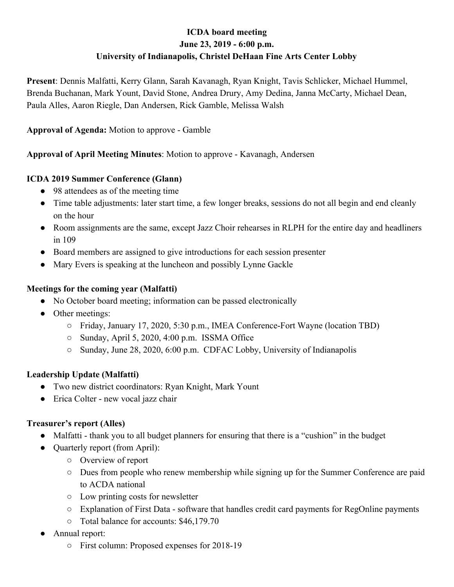# **ICDA board meeting June 23, 2019 - 6:00 p.m. University of Indianapolis, Christel DeHaan Fine Arts Center Lobby**

**Present**: Dennis Malfatti, Kerry Glann, Sarah Kavanagh, Ryan Knight, Tavis Schlicker, Michael Hummel, Brenda Buchanan, Mark Yount, David Stone, Andrea Drury, Amy Dedina, Janna McCarty, Michael Dean, Paula Alles, Aaron Riegle, Dan Andersen, Rick Gamble, Melissa Walsh

**Approval of Agenda:** Motion to approve - Gamble

**Approval of April Meeting Minutes**: Motion to approve - Kavanagh, Andersen

### **ICDA 2019 Summer Conference (Glann)**

- 98 attendees as of the meeting time
- Time table adjustments: later start time, a few longer breaks, sessions do not all begin and end cleanly on the hour
- Room assignments are the same, except Jazz Choir rehearses in RLPH for the entire day and headliners in 109
- Board members are assigned to give introductions for each session presenter
- Mary Evers is speaking at the luncheon and possibly Lynne Gackle

### **Meetings for the coming year (Malfatti)**

- No October board meeting; information can be passed electronically
- Other meetings:
	- Friday, January 17, 2020, 5:30 p.m., IMEA Conference-Fort Wayne (location TBD)
	- Sunday, April 5, 2020, 4:00 p.m. ISSMA Office
	- Sunday, June 28, 2020, 6:00 p.m. CDFAC Lobby, University of Indianapolis

## **Leadership Update (Malfatti)**

- Two new district coordinators: Ryan Knight, Mark Yount
- Erica Colter new vocal jazz chair

## **Treasurer's report (Alles)**

- Malfatti thank you to all budget planners for ensuring that there is a "cushion" in the budget
- Quarterly report (from April):
	- Overview of report
	- Dues from people who renew membership while signing up for the Summer Conference are paid to ACDA national
	- Low printing costs for newsletter
	- Explanation of First Data software that handles credit card payments for RegOnline payments
	- Total balance for accounts: \$46,179.70
- Annual report:
	- First column: Proposed expenses for 2018-19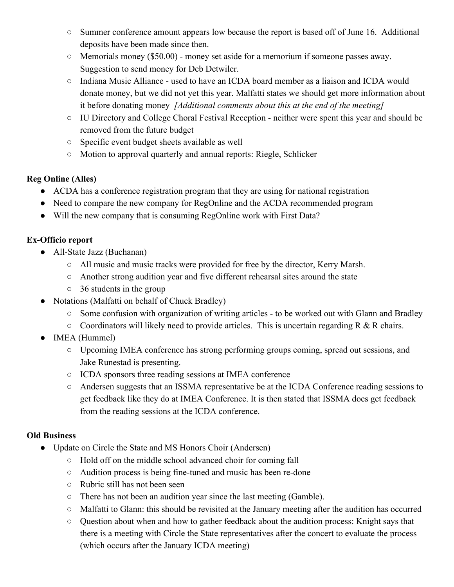- Summer conference amount appears low because the report is based off of June 16. Additional deposits have been made since then.
- $\circ$  Memorials money (\$50.00) money set aside for a memorium if someone passes away. Suggestion to send money for Deb Detwiler.
- Indiana Music Alliance used to have an ICDA board member as a liaison and ICDA would donate money, but we did not yet this year. Malfatti states we should get more information about it before donating money *[Additional comments about this at the end of the meeting]*
- IU Directory and College Choral Festival Reception neither were spent this year and should be removed from the future budget
- Specific event budget sheets available as well
- Motion to approval quarterly and annual reports: Riegle, Schlicker

## **Reg Online (Alles)**

- ACDA has a conference registration program that they are using for national registration
- Need to compare the new company for RegOnline and the ACDA recommended program
- Will the new company that is consuming RegOnline work with First Data?

## **Ex-Officio report**

- All-State Jazz (Buchanan)
	- All music and music tracks were provided for free by the director, Kerry Marsh.
	- Another strong audition year and five different rehearsal sites around the state
	- 36 students in the group
- Notations (Malfatti on behalf of Chuck Bradley)
	- Some confusion with organization of writing articles to be worked out with Glann and Bradley
	- $\circ$  Coordinators will likely need to provide articles. This is uncertain regarding R & R chairs.
- IMEA (Hummel)
	- Upcoming IMEA conference has strong performing groups coming, spread out sessions, and Jake Runestad is presenting.
	- ICDA sponsors three reading sessions at IMEA conference
	- Andersen suggests that an ISSMA representative be at the ICDA Conference reading sessions to get feedback like they do at IMEA Conference. It is then stated that ISSMA does get feedback from the reading sessions at the ICDA conference.

## **Old Business**

- Update on Circle the State and MS Honors Choir (Andersen)
	- Hold off on the middle school advanced choir for coming fall
	- Audition process is being fine-tuned and music has been re-done
	- Rubric still has not been seen
	- There has not been an audition year since the last meeting (Gamble).
	- Malfatti to Glann: this should be revisited at the January meeting after the audition has occurred
	- Question about when and how to gather feedback about the audition process: Knight says that there is a meeting with Circle the State representatives after the concert to evaluate the process (which occurs after the January ICDA meeting)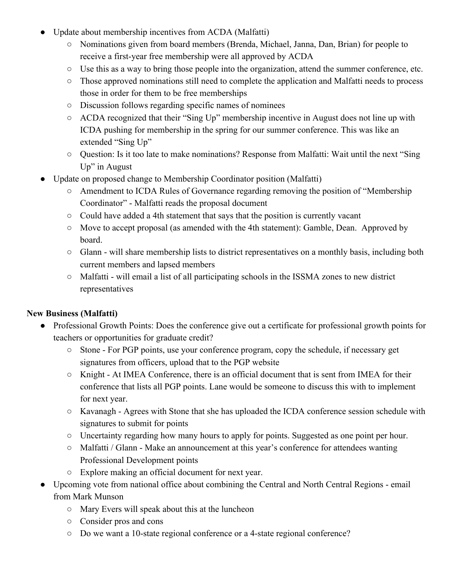- Update about membership incentives from ACDA (Malfatti)
	- Nominations given from board members (Brenda, Michael, Janna, Dan, Brian) for people to receive a first-year free membership were all approved by ACDA
	- Use this as a way to bring those people into the organization, attend the summer conference, etc.
	- Those approved nominations still need to complete the application and Malfatti needs to process those in order for them to be free memberships
	- Discussion follows regarding specific names of nominees
	- ACDA recognized that their "Sing Up" membership incentive in August does not line up with ICDA pushing for membership in the spring for our summer conference. This was like an extended "Sing Up"
	- Question: Is it too late to make nominations? Response from Malfatti: Wait until the next "Sing Up" in August
- Update on proposed change to Membership Coordinator position (Malfatti)
	- Amendment to ICDA Rules of Governance regarding removing the position of "Membership" Coordinator" - Malfatti reads the proposal document
	- Could have added a 4th statement that says that the position is currently vacant
	- Move to accept proposal (as amended with the 4th statement): Gamble, Dean. Approved by board.
	- Glann will share membership lists to district representatives on a monthly basis, including both current members and lapsed members
	- Malfatti will email a list of all participating schools in the ISSMA zones to new district representatives

## **New Business (Malfatti)**

- Professional Growth Points: Does the conference give out a certificate for professional growth points for teachers or opportunities for graduate credit?
	- Stone For PGP points, use your conference program, copy the schedule, if necessary get signatures from officers, upload that to the PGP website
	- Knight At IMEA Conference, there is an official document that is sent from IMEA for their conference that lists all PGP points. Lane would be someone to discuss this with to implement for next year.
	- Kavanagh Agrees with Stone that she has uploaded the ICDA conference session schedule with signatures to submit for points
	- Uncertainty regarding how many hours to apply for points. Suggested as one point per hour.
	- Malfatti / Glann Make an announcement at this year's conference for attendees wanting Professional Development points
	- Explore making an official document for next year.
- Upcoming vote from national office about combining the Central and North Central Regions email from Mark Munson
	- Mary Evers will speak about this at the luncheon
	- Consider pros and cons
	- Do we want a 10-state regional conference or a 4-state regional conference?